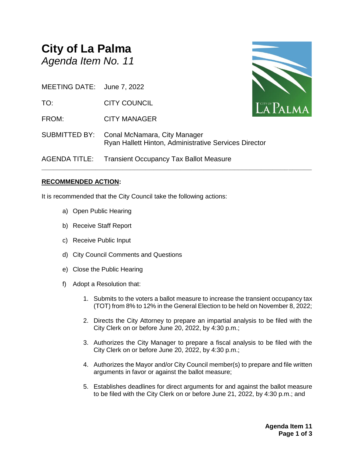# **City of La Palma** *Agenda Item No. 11*

MEETING DATE: June 7, 2022

TO: CITY COUNCIL

FROM: CITY MANAGER

SUBMITTED BY: Conal McNamara, City Manager Ryan Hallett Hinton, Administrative Services Director

**\_\_\_\_\_\_\_\_\_\_\_\_\_\_\_\_\_\_\_\_\_\_\_\_\_\_\_\_\_\_\_\_\_\_\_\_\_\_\_\_\_\_\_\_\_\_\_\_\_\_\_\_\_\_\_\_\_\_\_\_\_\_\_\_\_\_\_\_\_\_**

AGENDA TITLE: Transient Occupancy Tax Ballot Measure

## **RECOMMENDED ACTION:**

It is recommended that the City Council take the following actions:

- a) Open Public Hearing
- b) Receive Staff Report
- c) Receive Public Input
- d) City Council Comments and Questions
- e) Close the Public Hearing
- f) Adopt a Resolution that:
	- 1. Submits to the voters a ballot measure to increase the transient occupancy tax (TOT) from 8% to 12% in the General Election to be held on November 8, 2022;
	- 2. Directs the City Attorney to prepare an impartial analysis to be filed with the City Clerk on or before June 20, 2022, by 4:30 p.m.;
	- 3. Authorizes the City Manager to prepare a fiscal analysis to be filed with the City Clerk on or before June 20, 2022, by 4:30 p.m.;
	- 4. Authorizes the Mayor and/or City Council member(s) to prepare and file written arguments in favor or against the ballot measure;
	- 5. Establishes deadlines for direct arguments for and against the ballot measure to be filed with the City Clerk on or before June 21, 2022, by 4:30 p.m.; and

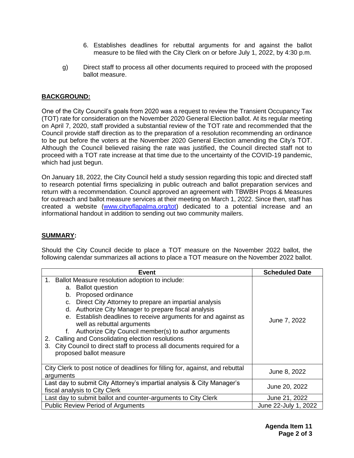- 6. Establishes deadlines for rebuttal arguments for and against the ballot measure to be filed with the City Clerk on or before July 1, 2022, by 4:30 p.m.
- g) Direct staff to process all other documents required to proceed with the proposed ballot measure.

## **BACKGROUND:**

One of the City Council's goals from 2020 was a request to review the Transient Occupancy Tax (TOT) rate for consideration on the November 2020 General Election ballot. At its regular meeting on April 7, 2020, staff provided a substantial review of the TOT rate and recommended that the Council provide staff direction as to the preparation of a resolution recommending an ordinance to be put before the voters at the November 2020 General Election amending the City's TOT. Although the Council believed raising the rate was justified, the Council directed staff not to proceed with a TOT rate increase at that time due to the uncertainty of the COVID-19 pandemic, which had just begun.

On January 18, 2022, the City Council held a study session regarding this topic and directed staff to research potential firms specializing in public outreach and ballot preparation services and return with a recommendation. Council approved an agreement with TBWBH Props & Measures for outreach and ballot measure services at their meeting on March 1, 2022. Since then, staff has created a website [\(www.cityoflapalma.org/tot\)](http://www.cityoflapalma.org/tot) dedicated to a potential increase and an informational handout in addition to sending out two community mailers.

#### **SUMMARY:**

Should the City Council decide to place a TOT measure on the November 2022 ballot, the following calendar summarizes all actions to place a TOT measure on the November 2022 ballot.

| Event                                                                                                                                                                                                                                                                                                                                                                                                                                                                                                                                               | <b>Scheduled Date</b> |  |
|-----------------------------------------------------------------------------------------------------------------------------------------------------------------------------------------------------------------------------------------------------------------------------------------------------------------------------------------------------------------------------------------------------------------------------------------------------------------------------------------------------------------------------------------------------|-----------------------|--|
| Ballot Measure resolution adoption to include:<br>1.<br>a. Ballot question<br>b. Proposed ordinance<br>Direct City Attorney to prepare an impartial analysis<br>C.<br>d. Authorize City Manager to prepare fiscal analysis<br>e. Establish deadlines to receive arguments for and against as<br>well as rebuttal arguments<br>Authorize City Council member(s) to author arguments<br>Calling and Consolidating election resolutions<br>2.<br>City Council to direct staff to process all documents required for a<br>3.<br>proposed ballot measure | June 7, 2022          |  |
| City Clerk to post notice of deadlines for filling for, against, and rebuttal<br>arguments                                                                                                                                                                                                                                                                                                                                                                                                                                                          | June 8, 2022          |  |
| Last day to submit City Attorney's impartial analysis & City Manager's<br>fiscal analysis to City Clerk                                                                                                                                                                                                                                                                                                                                                                                                                                             | June 20, 2022         |  |
| Last day to submit ballot and counter-arguments to City Clerk                                                                                                                                                                                                                                                                                                                                                                                                                                                                                       | June 21, 2022         |  |
| <b>Public Review Period of Arguments</b>                                                                                                                                                                                                                                                                                                                                                                                                                                                                                                            | June 22-July 1, 2022  |  |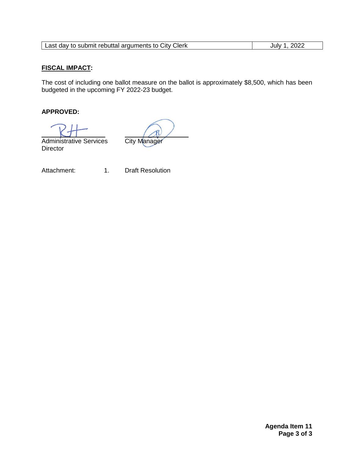| Last day to submit rebuttal arguments to City Clerk | 2022<br>July 1 |
|-----------------------------------------------------|----------------|
|-----------------------------------------------------|----------------|

## **FISCAL IMPACT:**

The cost of including one ballot measure on the ballot is approximately \$8,500, which has been budgeted in the upcoming FY 2022-23 budget.

# **APPROVED:**

 Administrative Services City Manager **Director** 

Attachment: 1. Draft Resolution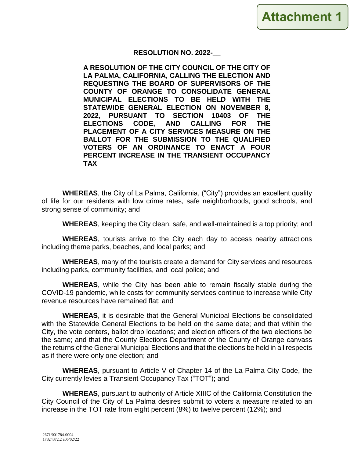# **RESOLUTION NO. 2022-\_\_**

**A RESOLUTION OF THE CITY COUNCIL OF THE CITY OF LA PALMA, CALIFORNIA, CALLING THE ELECTION AND REQUESTING THE BOARD OF SUPERVISORS OF THE COUNTY OF ORANGE TO CONSOLIDATE GENERAL MUNICIPAL ELECTIONS TO BE HELD WITH THE STATEWIDE GENERAL ELECTION ON NOVEMBER 8, 2022, PURSUANT TO SECTION 10403 OF THE ELECTIONS CODE, AND CALLING FOR THE PLACEMENT OF A CITY SERVICES MEASURE ON THE BALLOT FOR THE SUBMISSION TO THE QUALIFIED VOTERS OF AN ORDINANCE TO ENACT A FOUR PERCENT INCREASE IN THE TRANSIENT OCCUPANCY TAX**

**WHEREAS**, the City of La Palma, California, ("City") provides an excellent quality of life for our residents with low crime rates, safe neighborhoods, good schools, and strong sense of community; and

**WHEREAS**, keeping the City clean, safe, and well-maintained is a top priority; and

**WHEREAS**, tourists arrive to the City each day to access nearby attractions including theme parks, beaches, and local parks; and

**WHEREAS**, many of the tourists create a demand for City services and resources including parks, community facilities, and local police; and

**WHEREAS**, while the City has been able to remain fiscally stable during the COVID-19 pandemic, while costs for community services continue to increase while City revenue resources have remained flat; and

**WHEREAS**, it is desirable that the General Municipal Elections be consolidated with the Statewide General Elections to be held on the same date; and that within the City, the vote centers, ballot drop locations; and election officers of the two elections be the same; and that the County Elections Department of the County of Orange canvass the returns of the General Municipal Elections and that the elections be held in all respects as if there were only one election; and

**WHEREAS**, pursuant to Article V of Chapter 14 of the La Palma City Code, the City currently levies a Transient Occupancy Tax ("TOT"); and

**WHEREAS**, pursuant to authority of Article XIIIC of the California Constitution the City Council of the City of La Palma desires submit to voters a measure related to an increase in the TOT rate from eight percent (8%) to twelve percent (12%); and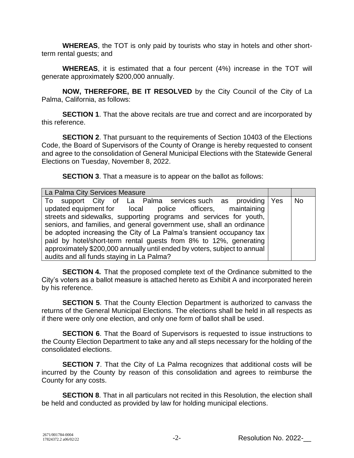**WHEREAS**, the TOT is only paid by tourists who stay in hotels and other shortterm rental guests; and

**WHEREAS**, it is estimated that a four percent (4%) increase in the TOT will generate approximately \$200,000 annually.

**NOW, THEREFORE, BE IT RESOLVED** by the City Council of the City of La Palma, California, as follows:

**SECTION 1**. That the above recitals are true and correct and are incorporated by this reference.

**SECTION 2**. That pursuant to the requirements of Section 10403 of the Elections Code, the Board of Supervisors of the County of Orange is hereby requested to consent and agree to the consolidation of General Municipal Elections with the Statewide General Elections on Tuesday, November 8, 2022.

**SECTION 3**. That a measure is to appear on the ballot as follows:

| La Palma City Services Measure                                                                                                                                                                                                                                                                                                                                                                                                                                                                                                           |     |           |
|------------------------------------------------------------------------------------------------------------------------------------------------------------------------------------------------------------------------------------------------------------------------------------------------------------------------------------------------------------------------------------------------------------------------------------------------------------------------------------------------------------------------------------------|-----|-----------|
| To support City of La Palma services such as providing<br>updated equipment for local police officers, maintaining<br>streets and sidewalks, supporting programs and services for youth,<br>seniors, and families, and general government use, shall an ordinance<br>be adopted increasing the City of La Palma's transient occupancy tax<br>paid by hotel/short-term rental guests from 8% to 12%, generating<br>approximately \$200,000 annually until ended by voters, subject to annual<br>audits and all funds staying in La Palma? | Yes | <b>No</b> |

**SECTION 4.** That the proposed complete text of the Ordinance submitted to the City's voters as a ballot measure is attached hereto as Exhibit A and incorporated herein by his reference.

**SECTION 5**. That the County Election Department is authorized to canvass the returns of the General Municipal Elections. The elections shall be held in all respects as if there were only one election, and only one form of ballot shall be used.

**SECTION 6.** That the Board of Supervisors is requested to issue instructions to the County Election Department to take any and all steps necessary for the holding of the consolidated elections.

**SECTION 7**. That the City of La Palma recognizes that additional costs will be incurred by the County by reason of this consolidation and agrees to reimburse the County for any costs.

**SECTION 8.** That in all particulars not recited in this Resolution, the election shall be held and conducted as provided by law for holding municipal elections.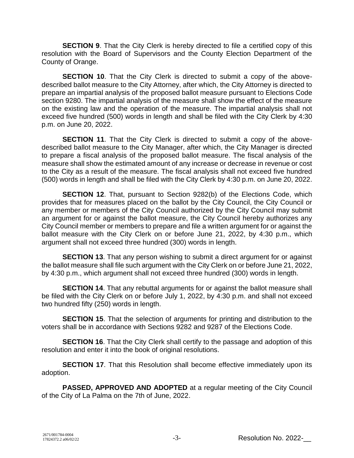**SECTION 9.** That the City Clerk is hereby directed to file a certified copy of this resolution with the Board of Supervisors and the County Election Department of the County of Orange.

**SECTION 10.** That the City Clerk is directed to submit a copy of the abovedescribed ballot measure to the City Attorney, after which, the City Attorney is directed to prepare an impartial analysis of the proposed ballot measure pursuant to Elections Code section 9280. The impartial analysis of the measure shall show the effect of the measure on the existing law and the operation of the measure. The impartial analysis shall not exceed five hundred (500) words in length and shall be filed with the City Clerk by 4:30 p.m. on June 20, 2022.

**SECTION 11**. That the City Clerk is directed to submit a copy of the abovedescribed ballot measure to the City Manager, after which, the City Manager is directed to prepare a fiscal analysis of the proposed ballot measure. The fiscal analysis of the measure shall show the estimated amount of any increase or decrease in revenue or cost to the City as a result of the measure. The fiscal analysis shall not exceed five hundred (500) words in length and shall be filed with the City Clerk by 4:30 p.m. on June 20, 2022.

**SECTION 12.** That, pursuant to Section 9282(b) of the Elections Code, which provides that for measures placed on the ballot by the City Council, the City Council or any member or members of the City Council authorized by the City Council may submit an argument for or against the ballot measure, the City Council hereby authorizes any City Council member or members to prepare and file a written argument for or against the ballot measure with the City Clerk on or before June 21, 2022, by 4:30 p.m., which argument shall not exceed three hundred (300) words in length.

**SECTION 13.** That any person wishing to submit a direct argument for or against the ballot measure shall file such argument with the City Clerk on or before June 21, 2022, by 4:30 p.m., which argument shall not exceed three hundred (300) words in length.

**SECTION 14.** That any rebuttal arguments for or against the ballot measure shall be filed with the City Clerk on or before July 1, 2022, by 4:30 p.m. and shall not exceed two hundred fifty (250) words in length.

**SECTION 15.** That the selection of arguments for printing and distribution to the voters shall be in accordance with Sections 9282 and 9287 of the Elections Code.

**SECTION 16.** That the City Clerk shall certify to the passage and adoption of this resolution and enter it into the book of original resolutions.

**SECTION 17.** That this Resolution shall become effective immediately upon its adoption.

**PASSED, APPROVED AND ADOPTED** at a regular meeting of the City Council of the City of La Palma on the 7th of June, 2022.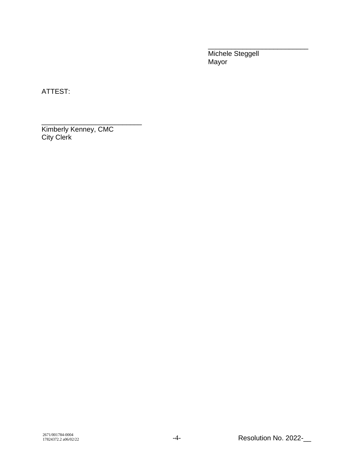Michele Steggell Mayor

\_\_\_\_\_\_\_\_\_\_\_\_\_\_\_\_\_\_\_\_\_\_\_\_\_\_

ATTEST:

\_\_\_\_\_\_\_\_\_\_\_\_\_\_\_\_\_\_\_\_\_\_\_\_\_\_ Kimberly Kenney, CMC City Clerk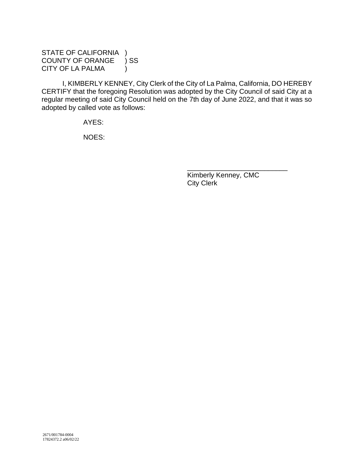# STATE OF CALIFORNIA ) COUNTY OF ORANGE ) SS CITY OF LA PALMA (1)

I, KIMBERLY KENNEY, City Clerk of the City of La Palma, California, DO HEREBY CERTIFY that the foregoing Resolution was adopted by the City Council of said City at a regular meeting of said City Council held on the 7th day of June 2022, and that it was so adopted by called vote as follows:

AYES:

NOES:

Kimberly Kenney, CMC City Clerk

\_\_\_\_\_\_\_\_\_\_\_\_\_\_\_\_\_\_\_\_\_\_\_\_\_\_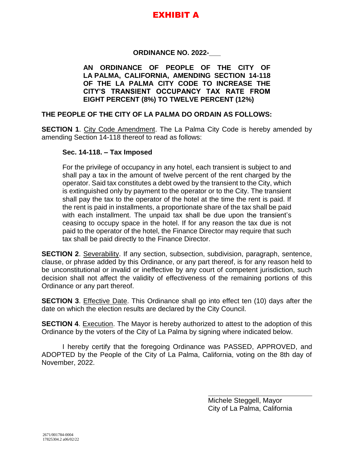# EXHIBIT A

# **ORDINANCE NO. 2022-\_\_\_**

**AN ORDINANCE OF PEOPLE OF THE CITY OF LA PALMA, CALIFORNIA, AMENDING SECTION 14-118 OF THE LA PALMA CITY CODE TO INCREASE THE CITY'S TRANSIENT OCCUPANCY TAX RATE FROM EIGHT PERCENT (8%) TO TWELVE PERCENT (12%)**

#### **THE PEOPLE OF THE CITY OF LA PALMA DO ORDAIN AS FOLLOWS:**

**SECTION 1**. City Code Amendment. The La Palma City Code is hereby amended by amending Section 14-118 thereof to read as follows:

#### **Sec. 14-118. – Tax Imposed**

For the privilege of occupancy in any hotel, each transient is subject to and shall pay a tax in the amount of twelve percent of the rent charged by the operator. Said tax constitutes a debt owed by the transient to the City, which is extinguished only by payment to the operator or to the City. The transient shall pay the tax to the operator of the hotel at the time the rent is paid. If the rent is paid in installments, a proportionate share of the tax shall be paid with each installment. The unpaid tax shall be due upon the transient's ceasing to occupy space in the hotel. If for any reason the tax due is not paid to the operator of the hotel, the Finance Director may require that such tax shall be paid directly to the Finance Director.

**SECTION 2.** Severability. If any section, subsection, subdivision, paragraph, sentence, clause, or phrase added by this Ordinance, or any part thereof, is for any reason held to be unconstitutional or invalid or ineffective by any court of competent jurisdiction, such decision shall not affect the validity of effectiveness of the remaining portions of this Ordinance or any part thereof.

**SECTION 3**. Effective Date. This Ordinance shall go into effect ten (10) days after the date on which the election results are declared by the City Council.

**SECTION 4.** Execution. The Mayor is hereby authorized to attest to the adoption of this Ordinance by the voters of the City of La Palma by signing where indicated below.

I hereby certify that the foregoing Ordinance was PASSED, APPROVED, and ADOPTED by the People of the City of La Palma, California, voting on the 8th day of November, 2022.

> Michele Steggell, Mayor City of La Palma, California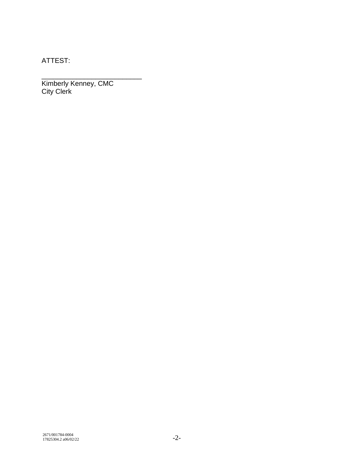ATTEST:

\_\_\_\_\_\_\_\_\_\_\_\_\_\_\_\_\_\_\_\_\_\_\_\_\_\_ Kimberly Kenney, CMC City Clerk